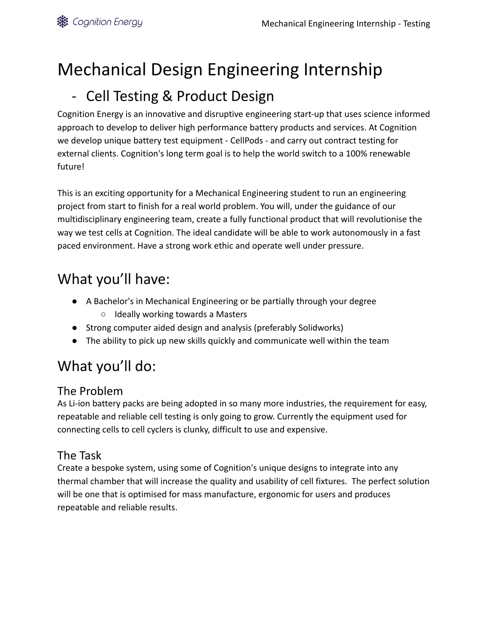# Mechanical Design Engineering Internship

# - Cell Testing & Product Design

Cognition Energy is an innovative and disruptive engineering start-up that uses science informed approach to develop to deliver high performance battery products and services. At Cognition we develop unique battery test equipment - CellPods - and carry out contract testing for external clients. Cognition's long term goal is to help the world switch to a 100% renewable future!

This is an exciting opportunity for a Mechanical Engineering student to run an engineering project from start to finish for a real world problem. You will, under the guidance of our multidisciplinary engineering team, create a fully functional product that will revolutionise the way we test cells at Cognition. The ideal candidate will be able to work autonomously in a fast paced environment. Have a strong work ethic and operate well under pressure.

## What you'll have:

- A Bachelor's in Mechanical Engineering or be partially through your degree
	- Ideally working towards a Masters
- Strong computer aided design and analysis (preferably Solidworks)
- The ability to pick up new skills quickly and communicate well within the team

# What you'll do:

#### The Problem

As Li-ion battery packs are being adopted in so many more industries, the requirement for easy, repeatable and reliable cell testing is only going to grow. Currently the equipment used for connecting cells to cell cyclers is clunky, difficult to use and expensive.

#### The Task

Create a bespoke system, using some of Cognition's unique designs to integrate into any thermal chamber that will increase the quality and usability of cell fixtures. The perfect solution will be one that is optimised for mass manufacture, ergonomic for users and produces repeatable and reliable results.